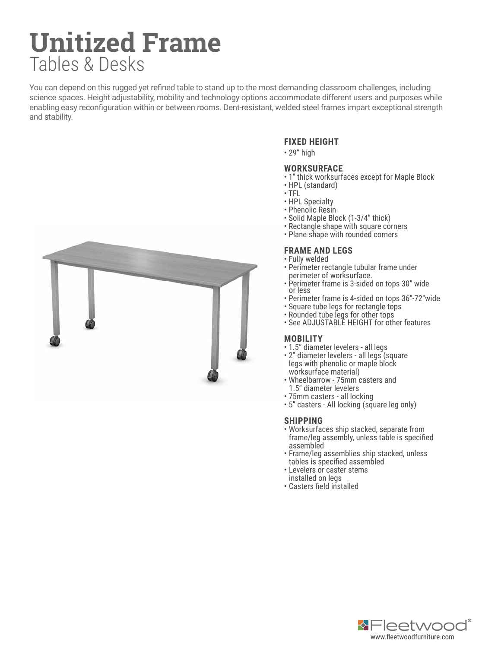# **Unitized Frame** Tables & Desks

You can depend on this rugged yet refined table to stand up to the most demanding classroom challenges, including science spaces. Height adjustability, mobility and technology options accommodate different users and purposes while enabling easy reconfiguration within or between rooms. Dent-resistant, welded steel frames impart exceptional strength and stability.



# **FIXED HEIGHT**

• 29" high

# **WORKSURFACE**

- 1" thick worksurfaces except for Maple Block
- HPL (standard)
- TFL
- HPL Specialty
- Phenolic Resin
- Solid Maple Block (1-3/4" thick)
- Rectangle shape with square corners
- Plane shape with rounded corners

# **FRAME AND LEGS**

- Fully welded
- Perimeter rectangle tubular frame under perimeter of worksurface.
- Perimeter frame is 3-sided on tops 30" wide or less
- Perimeter frame is 4-sided on tops 36"-72"wide
- Square tube legs for rectangle tops
- Rounded tube legs for other tops
- See ADJUSTABLE HEIGHT for other features

#### **MOBILITY**

- 1.5" diameter levelers all legs
- 2" diameter levelers all legs (square legs with phenolic or maple block worksurface material)
- Wheelbarrow 75mm casters and 1.5" diameter levelers
- 75mm casters all locking
- 5" casters All locking (square leg only)

# **SHIPPING**

- Worksurfaces ship stacked, separate from frame/leg assembly, unless table is specified assembled
- Frame/leg assemblies ship stacked, unless tables is specified assembled
- Levelers or caster stems
- installed on legs • Casters field installed